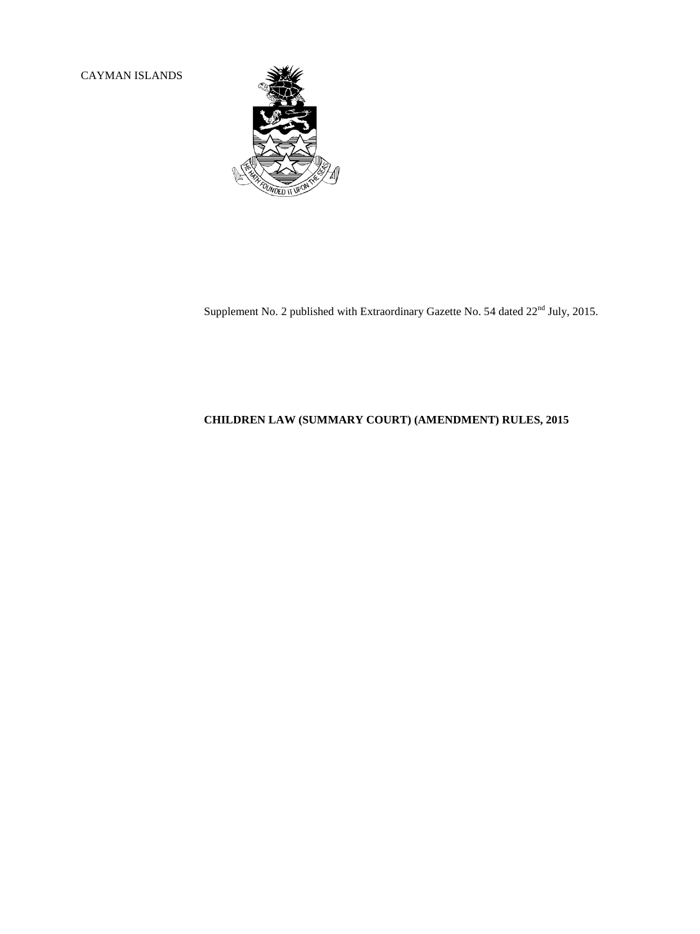CAYMAN ISLANDS



Supplement No. 2 published with Extraordinary Gazette No. 54 dated  $22<sup>nd</sup>$  July, 2015.

# **CHILDREN LAW (SUMMARY COURT) (AMENDMENT) RULES, 2015**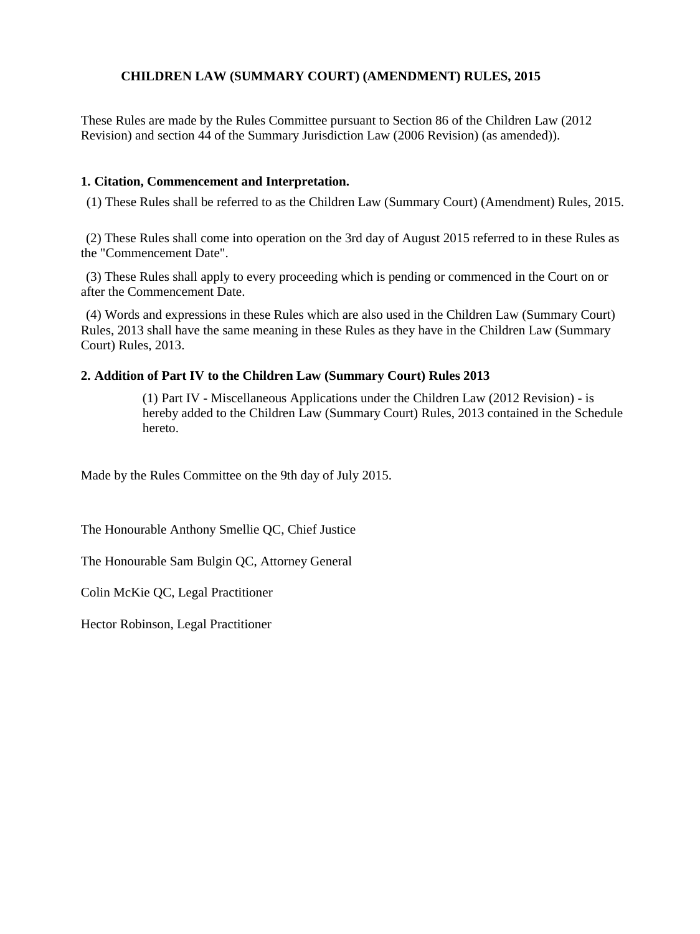## **CHILDREN LAW (SUMMARY COURT) (AMENDMENT) RULES, 2015**

These Rules are made by the Rules Committee pursuant to Section 86 of the Children Law (2012 Revision) and section 44 of the Summary Jurisdiction Law (2006 Revision) (as amended)).

### **1. Citation, Commencement and Interpretation.**

(1) These Rules shall be referred to as the Children Law (Summary Court) (Amendment) Rules, 2015.

(2) These Rules shall come into operation on the 3rd day of August 2015 referred to in these Rules as the "Commencement Date".

(3) These Rules shall apply to every proceeding which is pending or commenced in the Court on or after the Commencement Date.

(4) Words and expressions in these Rules which are also used in the Children Law (Summary Court) Rules, 2013 shall have the same meaning in these Rules as they have in the Children Law (Summary Court) Rules, 2013.

#### **2. Addition of Part IV to the Children Law (Summary Court) Rules 2013**

(1) Part IV - Miscellaneous Applications under the Children Law (2012 Revision) - is hereby added to the Children Law (Summary Court) Rules, 2013 contained in the Schedule hereto.

Made by the Rules Committee on the 9th day of July 2015.

The Honourable Anthony Smellie QC, Chief Justice

The Honourable Sam Bulgin QC, Attorney General

Colin McKie QC, Legal Practitioner

Hector Robinson, Legal Practitioner